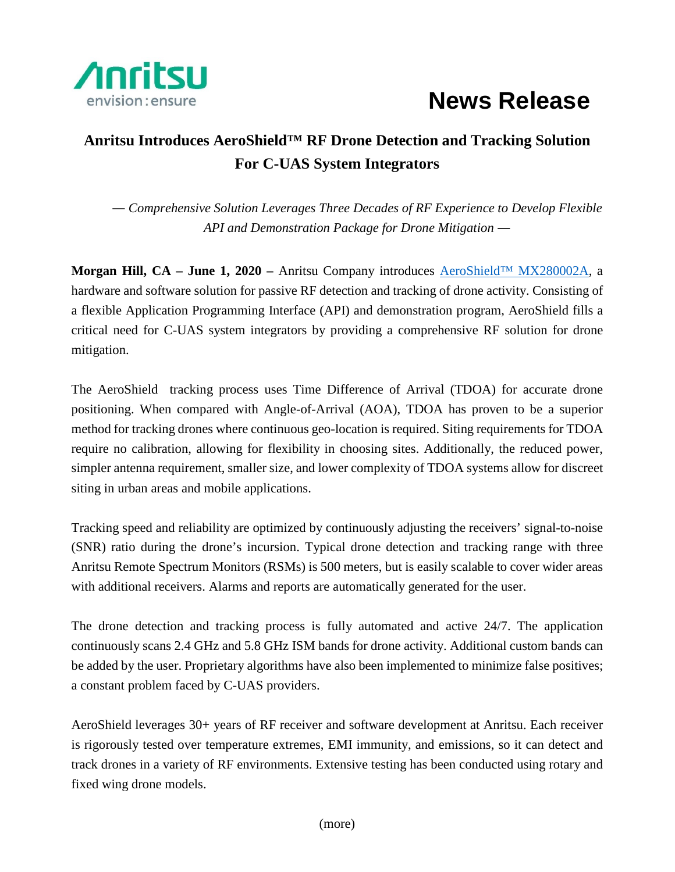

## **News Release**

## **Anritsu Introduces AeroShield™ RF Drone Detection and Tracking Solution For C-UAS System Integrators**

*― Comprehensive Solution Leverages Three Decades of RF Experience to Develop Flexible API and Demonstration Package for Drone Mitigation ―*

**Morgan Hill, CA – June 1, 2020 –** Anritsu Company introduces [AeroShield™ MX280002A,](https://www.anritsu.com/en-us/test-measurement/support/resource-center/aeroshield) a hardware and software solution for passive RF detection and tracking of drone activity. Consisting of a flexible Application Programming Interface (API) and demonstration program, AeroShield fills a critical need for C-UAS system integrators by providing a comprehensive RF solution for drone mitigation.

The AeroShield tracking process uses Time Difference of Arrival (TDOA) for accurate drone positioning. When compared with Angle-of-Arrival (AOA), TDOA has proven to be a superior method for tracking drones where continuous geo-location is required. Siting requirements for TDOA require no calibration, allowing for flexibility in choosing sites. Additionally, the reduced power, simpler antenna requirement, smaller size, and lower complexity of TDOA systems allow for discreet siting in urban areas and mobile applications.

Tracking speed and reliability are optimized by continuously adjusting the receivers' signal-to-noise (SNR) ratio during the drone's incursion. Typical drone detection and tracking range with three Anritsu Remote Spectrum Monitors (RSMs) is 500 meters, but is easily scalable to cover wider areas with additional receivers. Alarms and reports are automatically generated for the user.

The drone detection and tracking process is fully automated and active 24/7. The application continuously scans 2.4 GHz and 5.8 GHz ISM bands for drone activity. Additional custom bands can be added by the user. Proprietary algorithms have also been implemented to minimize false positives; a constant problem faced by C-UAS providers.

AeroShield leverages 30+ years of RF receiver and software development at Anritsu. Each receiver is rigorously tested over temperature extremes, EMI immunity, and emissions, so it can detect and track drones in a variety of RF environments. Extensive testing has been conducted using rotary and fixed wing drone models.